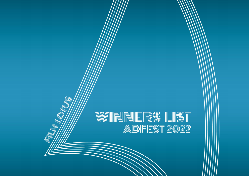# W/WINNERS LIST ADFEST 2022

(UF

**THE REPORT OF THE REAL PROPERTY AND REAL PROPERTY**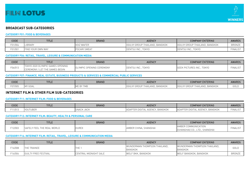



# **BROADCAST SUB-CATEGORIES**

## **CATEGORY F01: FOOD & BEVERAGES**

| CODE    | <b>TITLE</b>             | <b>BRAND</b>        | <b>AGENCY</b>                  | <b>COMPANY ENTERING</b>        | <b>AWARDS</b> |
|---------|--------------------------|---------------------|--------------------------------|--------------------------------|---------------|
| F01/004 | <b>LIBRARY</b>           | <b>VOIZ WAFER</b>   | OGILVY GROUP THAILAND, BANGKOK | OGILVY GROUP THAILAND, BANGKOK | <b>BRONZE</b> |
| F01/001 | <b>FIND YOUR OWN WAY</b> | <b>POCARI SWEAT</b> | DENTSU INC.<br><b>TOKYO</b>    | DENTSU INC., TOKYO             | FINALIST      |

#### **CATEGORY F06: RETAIL, TRAVEL, LEISURE & COMMUNICATION MEDIA**

| CODE    | <b>TITLE</b>                                                                | <b>BRAND</b>                         | <b>AGENCY</b>           | <b>COMPANY ENTERING</b>            | <b>AWARDS</b>   |
|---------|-----------------------------------------------------------------------------|--------------------------------------|-------------------------|------------------------------------|-----------------|
| F06/013 | LYMPIC GAMES OPENING<br>TOKYO 2020<br>' / LET THE GAMES BEGIN<br>CEREMONY / | <b>OLYMPIC</b><br>: OPENING CEREMONY | <b>TOKYO</b><br>`'J INC | <b>TOKYC</b><br>GEEK PICTURES INC. | <b>FINALIST</b> |

#### **CATEGORY F07: FINANCE, REAL ESTATE, BUSINESS PRODUCTS & SERVICES & COMMERCIAL PUBLIC SERVICES**

| CODE    | <b>TITL.</b>                 | <b>BRAND</b> | <b>AGENCY</b>                     | <b>COMPANY ENTERING</b>                                           | <b>AWARDS</b> |
|---------|------------------------------|--------------|-----------------------------------|-------------------------------------------------------------------|---------------|
| F07/005 | GOAI<br><b>IA 434</b><br>IM) | ----<br>◡    | BANGKOK<br><b>GRUU</b><br>AILAIND | . BANGKOK<br>$\sim$ $\sim$<br>UUILI<br>HAILAIND.<br><b>UITUUL</b> | GOLD          |

# **INTERNET FILM & OTHER FILM SUB-CATEGORIES**

#### **CATEGORY F11: INTERNET FILM: FOOD & BEVERAGES**

| CODE   | <b>TITLE</b>         | <b>BRAND</b>          | <b>AGENCY</b>                                                  | <b>COMPANY ENTERING</b>                                                      | <b>AWARDS</b>   |
|--------|----------------------|-----------------------|----------------------------------------------------------------|------------------------------------------------------------------------------|-----------------|
| 되1/013 | $\cup$ $\cup$ $\cup$ | $\sim$<br>ISNACK JACK | <b>BANGKOK</b><br>$\sim$<br>$\sim$ $\sim$<br><b>HAL AUEINU</b> | BANGKOM<br>$\sim$ $\sim$<br>AGENU'<br>AUAP<br>$\overline{1}$<br>$\mathsf{I}$ | <b>FINALIST</b> |

#### **CATEGORY F12: INTERNET FILM: BEAUTY, HEALTH & PERSONAL CARE**

| CODE    | <b>TITLE</b>                                | <b>BRAND</b> | <b>AGENCY</b>         | <b>COMPANY ENTERING</b>                                       | <b>AWARDS</b>   |
|---------|---------------------------------------------|--------------|-----------------------|---------------------------------------------------------------|-----------------|
| F12/003 | . THE REAL WORLD<br><b>SAFELY</b><br>Y FEEL | <b>DURE</b>  | AMBER CHINA, SHANGHAI | <b>JAMBER COMMUNICATION</b><br>[SHANGHAI] CO., LTD., SHANGHAI | <b>FINALIST</b> |

#### **CATEGORY F16: INTERNET FILM: RETAIL, TRAVEL, LEISURE & COMMUNICATION MEDIA**

| CODE    | <b>TITLE</b>                     | <b>BRAND</b>          | <b>AGENCY</b>                           | <b>COMPANY ENTERING</b>                 | <b>AWARDS</b> |
|---------|----------------------------------|-----------------------|-----------------------------------------|-----------------------------------------|---------------|
| F16/008 | THE TRAINEE                      | <b>THE</b>            | WUNDERMAN THOMPSON THAILAND.<br>BANGKOK | WUNDERMAN THOMPSON THAILAND.<br>BANGKOK | GOLD          |
| F16/004 | LTY FREE FESTIVAL<br><b>GUIL</b> | CENTRAL MIDNIGHT SALE | WOLF BKK, BANGKOK                       | WOLF BANGKOK, BANGKOK                   | <b>BRONZE</b> |